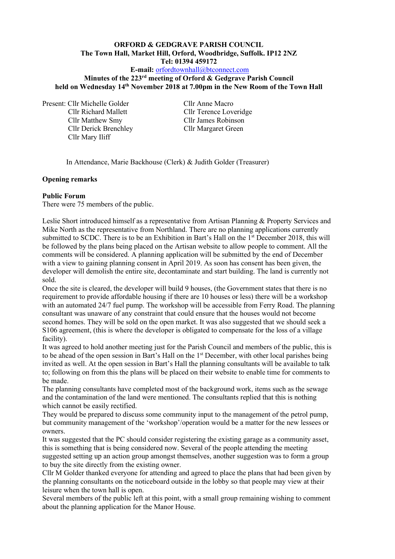# **ORFORD & GEDGRAVE PARISH COUNCIL The Town Hall, Market Hill, Orford, Woodbridge, Suffolk. IP12 2NZ Tel: 01394 459172**

# **E-mail:** [orfordtownhall@btconnect.com](mailto:orfordtownhall@btconnect.com)

#### **Minutes of the 223 rd meeting of Orford & Gedgrave Parish Council held on Wednesday 14 th November 2018 at 7.00pm in the New Room of the Town Hall**

Present: Cllr Michelle Golder Cllr Anne Macro Cllr Matthew Smy Cllr James Robinson Cllr Derick Brenchley Cllr Margaret Green Cllr Mary Iliff

Cllr Richard Mallett Cllr Terence Loveridge

In Attendance, Marie Backhouse (Clerk) & Judith Golder (Treasurer)

#### **Opening remarks**

#### **Public Forum**

There were 75 members of the public.

Leslie Short introduced himself as a representative from Artisan Planning & Property Services and Mike North as the representative from Northland. There are no planning applications currently submitted to SCDC. There is to be an Exhibition in Bart's Hall on the 1<sup>st</sup> December 2018, this will be followed by the plans being placed on the Artisan website to allow people to comment. All the comments will be considered. A planning application will be submitted by the end of December with a view to gaining planning consent in April 2019. As soon has consent has been given, the developer will demolish the entire site, decontaminate and start building. The land is currently not sold.

Once the site is cleared, the developer will build 9 houses, (the Government states that there is no requirement to provide affordable housing if there are 10 houses or less) there will be a workshop with an automated 24/7 fuel pump. The workshop will be accessible from Ferry Road. The planning consultant was unaware of any constraint that could ensure that the houses would not become second homes. They will be sold on the open market. It was also suggested that we should seek a S106 agreement, (this is where the developer is obligated to compensate for the loss of a village facility).

It was agreed to hold another meeting just for the Parish Council and members of the public, this is to be ahead of the open session in Bart's Hall on the  $1<sup>st</sup>$  December, with other local parishes being invited as well. At the open session in Bart's Hall the planning consultants will be available to talk to; following on from this the plans will be placed on their website to enable time for comments to be made.

The planning consultants have completed most of the background work, items such as the sewage and the contamination of the land were mentioned. The consultants replied that this is nothing which cannot be easily rectified.

They would be prepared to discuss some community input to the management of the petrol pump, but community management of the 'workshop'/operation would be a matter for the new lessees or owners.

It was suggested that the PC should consider registering the existing garage as a community asset, this is something that is being considered now. Several of the people attending the meeting suggested setting up an action group amongst themselves, another suggestion was to form a group to buy the site directly from the existing owner.

Cllr M Golder thanked everyone for attending and agreed to place the plans that had been given by the planning consultants on the noticeboard outside in the lobby so that people may view at their leisure when the town hall is open.

Several members of the public left at this point, with a small group remaining wishing to comment about the planning application for the Manor House.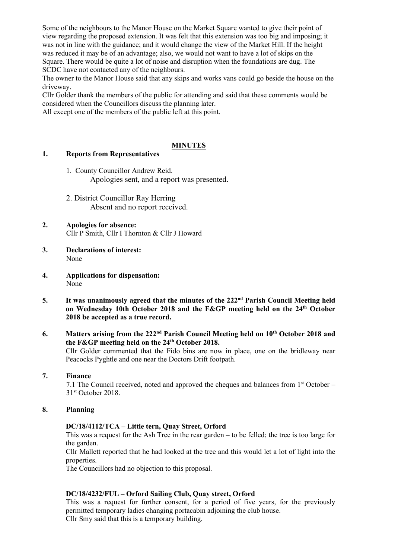Some of the neighbours to the Manor House on the Market Square wanted to give their point of view regarding the proposed extension. It was felt that this extension was too big and imposing; it was not in line with the guidance; and it would change the view of the Market Hill. If the height was reduced it may be of an advantage; also, we would not want to have a lot of skips on the Square. There would be quite a lot of noise and disruption when the foundations are dug. The SCDC have not contacted any of the neighbours.

The owner to the Manor House said that any skips and works vans could go beside the house on the driveway.

Cllr Golder thank the members of the public for attending and said that these comments would be considered when the Councillors discuss the planning later.

All except one of the members of the public left at this point.

### **MINUTES**

### **1. Reports from Representatives**

- 1. County Councillor Andrew Reid. Apologies sent, and a report was presented.
- 2. District Councillor Ray Herring Absent and no report received.
- **2. Apologies for absence:** Cllr P Smith, Cllr I Thornton & Cllr J Howard
- **3. Declarations of interest:** None
- **4. Applications for dispensation:** None
- 5. It was unanimously agreed that the minutes of the 222<sup>nd</sup> Parish Council Meeting held **on Wednesday 10th October 2018 and the F&GP meeting held on the 24<sup>th</sup> October 2018 be accepted as a true record.**
- **6. Matters arising from the 222<sup>nd</sup> Parish Council Meeting held on**  $10<sup>th</sup>$  **October 2018 and the F&GP meeting held on the 24th October 2018.**

Cllr Golder commented that the Fido bins are now in place, one on the bridleway near Peacocks Pyghtle and one near the Doctors Drift footpath.

#### **7. Finance**

7.1 The Council received, noted and approved the cheques and balances from  $1<sup>st</sup>$  October – 31 st October 2018.

### **8. Planning**

# **DC/18/4112/TCA – Little tern, Quay Street, Orford**

This was a request for the Ash Tree in the rear garden – to be felled; the tree is too large for the garden.

Cllr Mallett reported that he had looked at the tree and this would let a lot of light into the properties.

The Councillors had no objection to this proposal.

# **DC/18/4232/FUL – Orford Sailing Club, Quay street, Orford**

This was a request for further consent, for a period of five years, for the previously permitted temporary ladies changing portacabin adjoining the club house. Cllr Smy said that this is a temporary building.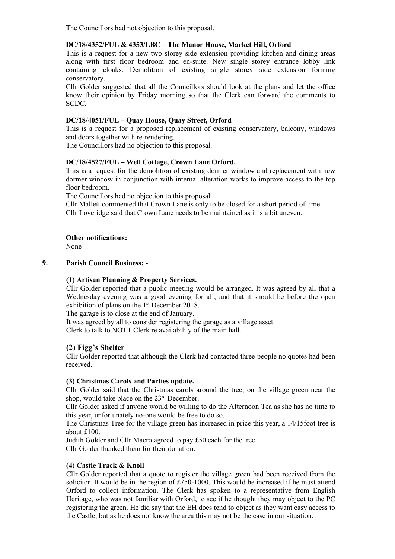The Councillors had not objection to this proposal.

### **DC/18/4352/FUL & 4353/LBC – The Manor House, Market Hill, Orford**

This is a request for a new two storey side extension providing kitchen and dining areas along with first floor bedroom and en-suite. New single storey entrance lobby link containing cloaks. Demolition of existing single storey side extension forming conservatory.

Cllr Golder suggested that all the Councillors should look at the plans and let the office know their opinion by Friday morning so that the Clerk can forward the comments to SCDC.

### **DC/18/4051/FUL – Quay House, Quay Street, Orford**

This is a request for a proposed replacement of existing conservatory, balcony, windows and doors together with re-rendering.

The Councillors had no objection to this proposal.

### **DC/18/4527/FUL – Well Cottage, Crown Lane Orford.**

This is a request for the demolition of existing dormer window and replacement with new dormer window in conjunction with internal alteration works to improve access to the top floor bedroom.

The Councillors had no objection to this proposal.

Cllr Mallett commented that Crown Lane is only to be closed for a short period of time. Cllr Loveridge said that Crown Lane needs to be maintained as it is a bit uneven.

### **Other notifications:**

None

### **9. Parish Council Business: -**

#### **(1) Artisan Planning & Property Services.**

Cllr Golder reported that a public meeting would be arranged. It was agreed by all that a Wednesday evening was a good evening for all; and that it should be before the open exhibition of plans on the 1st December 2018.

The garage is to close at the end of January.

It was agreed by all to consider registering the garage as a village asset.

Clerk to talk to NOTT Clerk re availability of the main hall.

# **(2) Figg's Shelter**

Cllr Golder reported that although the Clerk had contacted three people no quotes had been received.

#### **(3) Christmas Carols and Parties update.**

Cllr Golder said that the Christmas carols around the tree, on the village green near the shop, would take place on the 23<sup>rd</sup> December.

Cllr Golder asked if anyone would be willing to do the Afternoon Tea as she has no time to this year, unfortunately no-one would be free to do so.

The Christmas Tree for the village green has increased in price this year, a 14/15foot tree is about £100.

Judith Golder and Cllr Macro agreed to pay £50 each for the tree.

Cllr Golder thanked them for their donation.

#### **(4) Castle Track & Knoll**

Cllr Golder reported that a quote to register the village green had been received from the solicitor. It would be in the region of £750-1000. This would be increased if he must attend Orford to collect information. The Clerk has spoken to a representative from English Heritage, who was not familiar with Orford, to see if he thought they may object to the PC registering the green. He did say that the EH does tend to object as they want easy access to the Castle, but as he does not know the area this may not be the case in our situation.